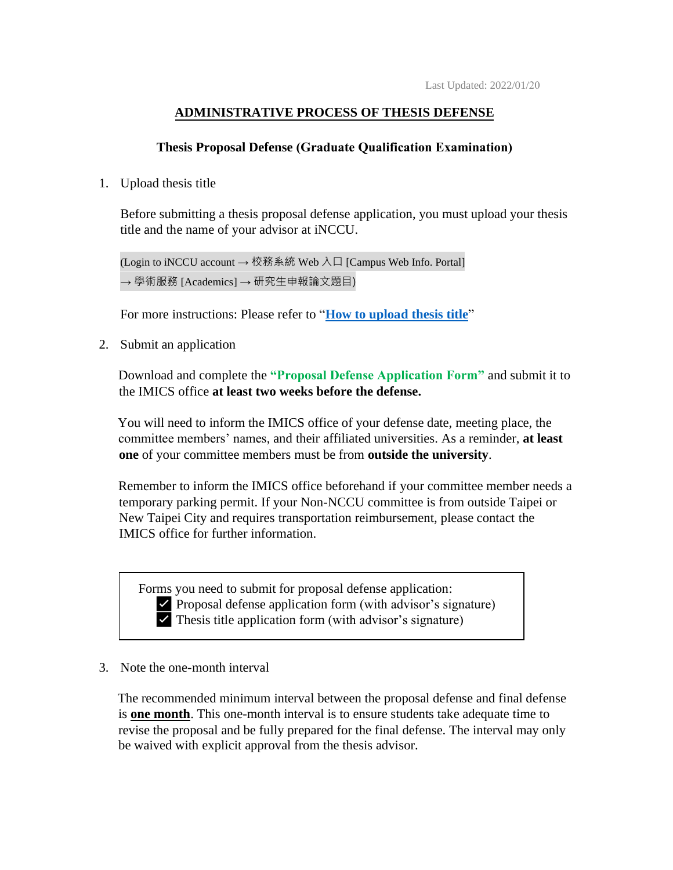# **ADMINISTRATIVE PROCESS OF THESIS DEFENSE**

## **Thesis Proposal Defense (Graduate Qualification Examination)**

### 1. Upload thesis title

Before submitting a thesis proposal defense application, you must upload your thesis title and the name of your advisor at iNCCU.

(Login to iNCCU account → 校務系統 Web 入口 [Campus Web Info. Portal] → 學術服務 [Academics] → 研究生申報論文題目)

For more instructions: Please refer to "**[How to upload thesis title](https://09a62d46-30e7-4185-acd1-0de84fc48f1f.filesusr.com/ugd/abd26e_a9e58903ad4c493a8d8ab8dbff476d89.pdf)**"

2. Submit an application

Download and complete the **"Proposal Defense Application Form"** and submit it to the IMICS office **at least two weeks before the defense.**

You will need to inform the IMICS office of your defense date, meeting place, the committee members' names, and their affiliated universities. As a reminder, **at least one** of your committee members must be from **outside the university**.

Remember to inform the IMICS office beforehand if your committee member needs a temporary parking permit. If your Non-NCCU committee is from outside Taipei or New Taipei City and requires transportation reimbursement, please contact the IMICS office for further information.

Forms you need to submit for proposal defense application: ✅ Proposal defense application form (with advisor's signature)  $\triangledown$  Thesis title application form (with advisor's signature)

#### 3. Note the one-month interval

The recommended minimum interval between the proposal defense and final defense is **one month**. This one-month interval is to ensure students take adequate time to revise the proposal and be fully prepared for the final defense. The interval may only be waived with explicit approval from the thesis advisor.